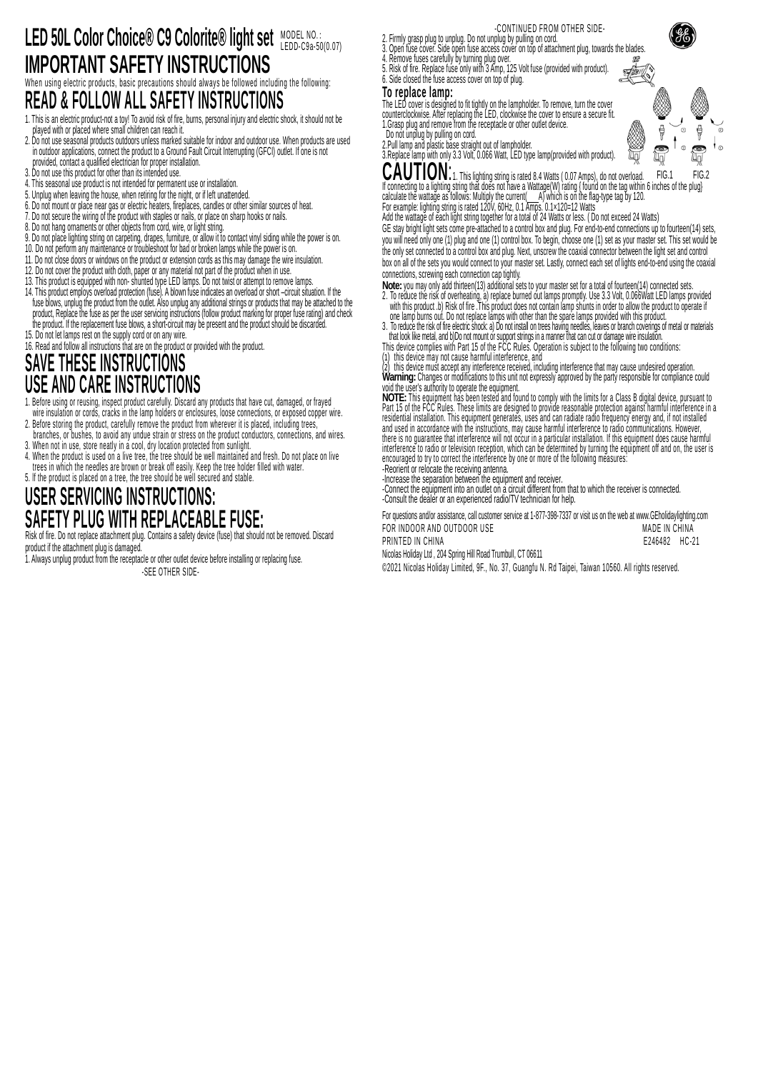### **LED 50L Color Choice® C9 Colorite® light set**  MODEL NO.: **IMPORTANT SAFETY INSTRUCTIONS** LEDD-C9a-50(0.07)

When using electric products, basic precautions should always be followed including the following: **READ & FOLLOW ALL SAFETY INSTRUCTIONS**

- 1. This is an electric product-not a toy! To avoid risk of fire, burns, personal injury and electric shock, it should not be played with or placed where small children can reach it.
- 2. Do not use seasonal products outdoors unless marked suitable for indoor and outdoor use. When products are used provided, contact a qualified electrician for proper installation.
- 3. Do not use this product for other than its intended use.
- 4. This seasonal use product is not intended for permanent use or installation.
- 5. Unplug when leaving the house, when retiring for the night, or if left unattended.
- 6. Do not mount or place near gas or electric heaters, fireplaces, candles or other similar sources of heat.
- 7. Do not secure the wiring of the product with staples or nails, or place on sharp hooks or nails.
- 8. Do not hang ornaments or other objects from cord, wire, or light string.
- 9. Do not place lighting string on carpeting, drapes, furniture, or allow it to contact vinyl siding while the power is on.
- 10. Do not perform any maintenance or troubleshoot for bad or broken lamps while the power is on.
- 11. Do not close doors or windows on the product or extension cords as this may damage the wire insulation.
- 12. Do not cover the product with cloth, paper or any material not part of the product when in use.
- 13. This product is equipped with non- shunted type LED lamps. Do not twist or attempt to remove lamps.
- 14. This product employs overload protection (fuse). A blown fuse indicates an overload or short –circuit situation. If the fuse blows, unplug the product from the outlet. Also unplug any additional strings or products that may be attached to the<br>product, Replace the fuse as per the user servicing instructions (follow product marking for proper the product. If the replacement fuse blows, a short-circuit may be present and the product should be discarded.
- 15. Do not let lamps rest on the supply cord or on any wire.
- 16. Read and follow all instructions that are on the product or provided with the product.

# **SAVE THESE INSTRUCTIONS USE AND CARE INSTRUCTIONS**

- 1. Before using or reusing, inspect product carefully. Discard any products that have cut, damaged, or frayed wire insulation or cords, cracks in the lamp holders or enclosures, loose connections, or exposed copper wire.
- 2. Before storing the product, carefully remove the product from wherever it is placed, including trees, branches, or bushes, to avoid any undue strain or stress on the product conductors, connections, and wires.
- 3. When not in use, store neatly in a cool, dry location protected from sunlight.
- 4. When the product is used on a live tree, the tree should be well maintained and fresh. Do not place on live trees in which the needles are brown or break off easily. Keep the tree holder filled with water.
- 5. lf the product is placed on a tree, the tree should be well secured and stable.

# **USER SERVICING INSTRUCTIONS: SAFETY PLUG WITH REPLACEABLE FUSE:**

Risk of fire. Do not replace attachment plug. Contains a safety device (fuse) that should not be removed. Discard product if the attachment plug is damaged.

1. Always unplug product from the receptacle or other outlet device before installing or replacing fuse.

#### -SEE OTHER SIDE-

- 
- -CONTINUED FROM OTHER SIDE- 2. Firmly grasp plug to unplug. Do not unplug by pulling on cord.
- 3. Open fuse cover. Side open fuse access cover on top of attachment plug, towards the blades.
- 
- 4. Remove iuses carefully by turning plug over.<br>5. Risk of fire. Replace fuse only with 3 Amp, 125 Volt fuse (provided with product).
- 6. Side closed the fuse access cover on top of plug.

### **To replace lamp:**

The LED cover is designed to iit tightly on the lampholder. To remove, turn the cover<br>counterclockwise. After replacing the LED, clockwise the cover to ensure a secure fit.

- 1.Grasp plug and remove from the receptacle or other outlet device. Do not unplug by pulling on cord.
- 2. Pull lamp and plastic base straight out of lampholder.

3.Replace lamp with only 3.3 Volt, 0.066 Watt, LED type lamp(provided with product).



f  $_{\odot}$ 

 $\mathbb{F}$ **CAUTION**:1. This lighting string is rated 8.4 Watts ( 0.07 Amps), do not overload. FIG.1 FIG.2ii connecting to a lighting string that does not have a Wattage(W) rating { found on the tag within 6 inches or the plug}<br>calculate the wattage as follows: Multiply the current(\_\_\_\_A) which is on the flag-type tag by 120. For example: lighting string is rated 120V, 60Hz, 0.1 Amps. 0.1×120=12 Watts

Add the wattage of each light string together for a total of 24 Watts or less. ( Do not exceed 24 Watts)

GE stay bright light sets come pre-attached to a control box and plug. For end-to-end connections up to fourteen(14) sets, you will need only one (1) plug and one (1) control box. To begin, choose one (1) set as your master set. This set would be the only set connected to a control box and plug. Next, unscrew the coaxial connector between the light set and control box on all of the sets you would connect to your master set. Lastly, connect each set of lights end-to-end using the coaxial connections, screwing each connection cap tightly.

- **Note:** you may only add thirteen(13) additional sets to your master set for a total of fourteen(14) connected sets.<br>2. To reduce the risk of overheating, a) replace burned out lamps promptly. Use 3.3 Volt, 0.066Watt LED l with this product .b) Risk of fire . This product does not contain lamp shunts in order to allow the product to operate if one lamp burns out. Do not replace lamps with other than the spare lamps provided with this product.
- 3. To reduce the risk of fire electric shock: a) Do not install on trees having needles, leaves or branch coverings of metal or materials that look like metal, and b)Do not mount or support strings in a manner that can cut or damage wire insulation.

This device complies with Part 15 of the FCC Rules. Operation is subject to the following two conditions: (1) this device may not cause harmful interference, and<br>(2) this device must accept any interference received included<br>(2) this device must accept any interference received inclu

(2) this device must accept any interference received, including interference that may cause undesired operation.<br>Warning: Changes or modifications to this unit not expressly approved by the party responsible for complianc

Warning: Southority to operate the equipment.<br> **NOTE:** This equipment has been tested and found to comply with the limits for a Class B digital device, pursuant to Part 15 of the FCC Rules. These limits are designed to provide reasonable protection against harmful interference in a<br>residential installation. This equipment generates, uses and can radiate radio frequency energy and, if and used in accordance with the instructions, may cause harmful interference to radio communications. However,<br>there is no quarantee that interference will not occur in a particular installation. If this equipment does cau interference to radio or television reception, which can be determined by turning the equipment off and on, the user is encouraged to try to correct the interference by one or more of the following measures:

-Reorient or relocate the receiving antenna.

-Increase the separation between the equipment and receiver.

-Connect the equipment into an outlet on a circuit different from that to which the receiver is connected. -Consult the dealer or an experienced radio/TV technician for help.

For questions and/or assistance, call customer service at 1-877-398-7337 or visit us on the web a[t www.GEholidaylighting.com](http://www.geholidaylighting.com/) FOR INDOOR AND OUTDOOR USE MADE IN CHINA PRINTED IN CHINA E246482 HC-21

Nicolas Holiday Ltd , 204 Spring Hill Road Trumbull, CT 06611

©2021 Nicolas Holiday Limited, 9F., No. 37, Guangfu N. Rd Taipei, Taiwan 10560. All rights reserved.